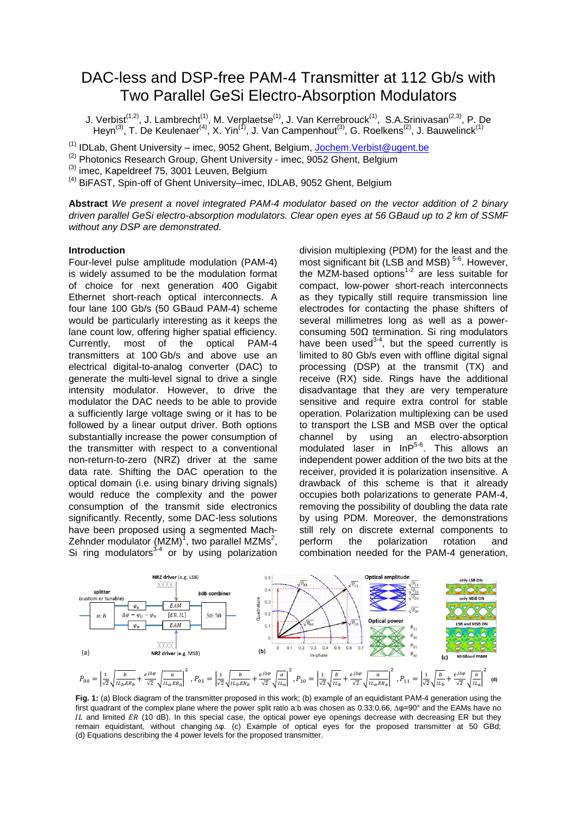# DAC-less and DSP-free PAM-4 Transmitter at 112 Gb/s with Two Parallel GeSi Electro-Absorption Modulators

J. Verbist<sup>(1,2)</sup>, J. Lambrecht<sup>(1)</sup>, M. Verplaetse<sup>(1)</sup>, J. Van Kerrebrouck<sup>(1)</sup>, S.A.Srinivasan<sup>(2,3)</sup>, P. De Heyn<sup>(3)</sup>, T. De Keulenaer<sup>(4)</sup>, X. Yin<sup>(1)</sup>, J. Van Campenhout<sup>(3)</sup>, G. Roelkens<sup>(2)</sup>, J. Bauwelinck<sup>(1)</sup>

<sup>(1)</sup> IDLab, Ghent University – imec, 9052 Ghent, Belgium, <u>Jochem.Verbist@ugent.be</u>

 $\frac{1}{2}$  Photonics Research Group, Ghent University - imec, 9052 Ghent, Belgium

 $\frac{\text{\tiny{(3)}}}{\text{\tiny{(3)}}}$  imec, Kapeldreef 75, 3001 Leuven, Belgium

<sup>(4)</sup> BiFAST, Spin-off of Ghent University–imec, IDLAB, 9052 Ghent, Belgium

**Abstract** *We present a novel integrated PAM-4 modulator based on the vector addition of 2 binary driven parallel GeSi electro-absorption modulators. Clear open eyes at 56 GBaud up to 2 km of SSMF without any DSP are demonstrated.*

## **Introduction**

Four-level pulse amplitude modulation (PAM-4) is widely assumed to be the modulation format of choice for next generation 400 Gigabit Ethernet short-reach optical interconnects. A four lane 100 Gb/s (50 GBaud PAM-4) scheme would be particularly interesting as it keeps the lane count low, offering higher spatial efficiency. Currently, most of the optical PAM-4 transmitters at 100 Gb/s and above use an electrical digital-to-analog converter (DAC) to generate the multi-level signal to drive a single intensity modulator. However, to drive the modulator the DAC needs to be able to provide a sufficiently large voltage swing or it has to be followed by a linear output driver. Both options substantially increase the power consumption of the transmitter with respect to a conventional non-return-to-zero (NRZ) driver at the same data rate. Shifting the DAC operation to the optical domain (i.e. using binary driving signals) would reduce the complexity and the power consumption of the transmit side electronics significantly. Recently, some DAC-less solutions have been proposed using a segmented Mach-Zehnder modulator (MZM)<sup>1</sup>, two parallel MZMs<sup>2</sup>, Si ring modulators $34$  or by using polarization

division multiplexing (PDM) for the least and the most significant bit (LSB and MSB)<sup>5-6</sup>. However, the MZM-based options<sup>1-2</sup> are less suitable for compact, low-power short-reach interconnects as they typically still require transmission line electrodes for contacting the phase shifters of several millimetres long as well as a powerconsuming 50Ω termination. Si ring modulators have been used $3-4$ , but the speed currently is limited to 80 Gb/s even with offline digital signal processing (DSP) at the transmit (TX) and receive (RX) side. Rings have the additional disadvantage that they are very temperature sensitive and require extra control for stable operation. Polarization multiplexing can be used to transport the LSB and MSB over the optical channel by using an electro-absorption modulated laser in InP<sup>5-6</sup>. This allows an independent power addition of the two bits at the receiver, provided it is polarization insensitive. A drawback of this scheme is that it already occupies both polarizations to generate PAM-4, removing the possibility of doubling the data rate by using PDM. Moreover, the demonstrations still rely on discrete external components to perform the polarization rotation and combination needed for the PAM-4 generation,



**Fig. 1:** (a) Block diagram of the transmitter proposed in this work; (b) example of an equidistant PAM-4 generation using the first quadrant of the complex plane where the power split ratio a:b was chosen as  $0.33:0.66$ ,  $\Delta\varphi$ =90° and the EAMs have no  $IL$  and limited  $ER$  (10 dB). In this special case, the optical power eye openings decrease with decreasing ER but they remain equidistant, without changing Δφ. (c) Example of optical eyes for the proposed transmitter at 50 GBd; (d) Equations describing the 4 power levels for the proposed transmitter.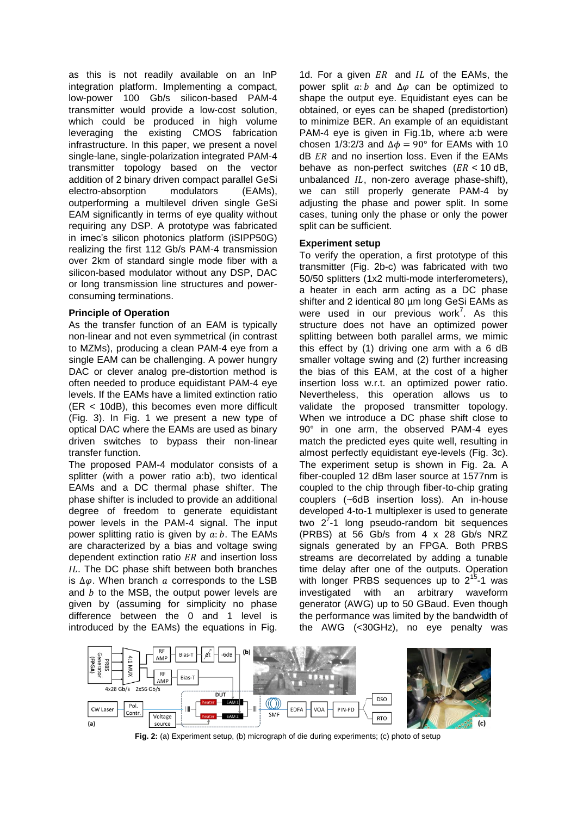as this is not readily available on an InP integration platform. Implementing a compact, low-power 100 Gb/s silicon-based PAM-4 transmitter would provide a low-cost solution, which could be produced in high volume leveraging the existing CMOS fabrication infrastructure. In this paper, we present a novel single-lane, single-polarization integrated PAM-4 transmitter topology based on the vector addition of 2 binary driven compact parallel GeSi electro-absorption modulators (EAMs), outperforming a multilevel driven single GeSi EAM significantly in terms of eye quality without requiring any DSP. A prototype was fabricated in imec's silicon photonics platform (iSIPP50G) realizing the first 112 Gb/s PAM-4 transmission over 2km of standard single mode fiber with a silicon-based modulator without any DSP, DAC or long transmission line structures and powerconsuming terminations.

## **Principle of Operation**

As the transfer function of an EAM is typically non-linear and not even symmetrical (in contrast to MZMs), producing a clean PAM-4 eye from a single EAM can be challenging. A power hungry DAC or clever analog pre-distortion method is often needed to produce equidistant PAM-4 eye levels. If the EAMs have a limited extinction ratio (ER < 10dB), this becomes even more difficult (Fig. 3). In Fig. 1 we present a new type of optical DAC where the EAMs are used as binary driven switches to bypass their non-linear transfer function.

The proposed PAM-4 modulator consists of a splitter (with a power ratio a:b), two identical EAMs and a DC thermal phase shifter. The phase shifter is included to provide an additional degree of freedom to generate equidistant power levels in the PAM-4 signal. The input power splitting ratio is given by  $a:b$ . The EAMs are characterized by a bias and voltage swing dependent extinction ratio  $ER$  and insertion loss IL. The DC phase shift between both branches is  $\Delta\varphi$ . When branch a corresponds to the LSB and  $b$  to the MSB, the output power levels are given by (assuming for simplicity no phase difference between the 0 and 1 level is introduced by the EAMs) the equations in Fig.

1d. For a given  $ER$  and  $IL$  of the EAMs, the power split  $a : b$  and  $\Delta \varphi$  can be optimized to shape the output eye. Equidistant eyes can be obtained, or eyes can be shaped (predistortion) to minimize BER. An example of an equidistant PAM-4 eye is given in Fig.1b, where a:b were chosen 1/3:2/3 and  $\Delta \phi = 90^{\circ}$  for EAMs with 10  $dB$   $ER$  and no insertion loss. Even if the EAMs behave as non-perfect switches  $(ER < 10$  dB, unbalanced  $IL$ , non-zero average phase-shift), we can still properly generate PAM-4 by adjusting the phase and power split. In some cases, tuning only the phase or only the power split can be sufficient.

## **Experiment setup**

To verify the operation, a first prototype of this transmitter (Fig. 2b-c) was fabricated with two 50/50 splitters (1x2 multi-mode interferometers), a heater in each arm acting as a DC phase shifter and 2 identical 80 um long GeSi EAMs as were used in our previous work<sup>7</sup>. As this structure does not have an optimized power splitting between both parallel arms, we mimic this effect by (1) driving one arm with a 6 dB smaller voltage swing and (2) further increasing the bias of this EAM, at the cost of a higher insertion loss w.r.t. an optimized power ratio. Nevertheless, this operation allows us to validate the proposed transmitter topology. When we introduce a DC phase shift close to 90° in one arm, the observed PAM-4 eyes match the predicted eyes quite well, resulting in almost perfectly equidistant eye-levels (Fig. 3c). The experiment setup is shown in Fig. 2a. A fiber-coupled 12 dBm laser source at 1577nm is coupled to the chip through fiber-to-chip grating couplers (~6dB insertion loss). An in-house developed 4-to-1 multiplexer is used to generate two  $2^{7}$ -1 long pseudo-random bit sequences (PRBS) at 56 Gb/s from 4 x 28 Gb/s NRZ signals generated by an FPGA. Both PRBS streams are decorrelated by adding a tunable time delay after one of the outputs. Operation with longer PRBS sequences up to 2<sup>15</sup>-1 was investigated with an arbitrary waveform generator (AWG) up to 50 GBaud. Even though the performance was limited by the bandwidth of the AWG (<30GHz), no eye penalty was



 **Fig. 2:** (a) Experiment setup, (b) micrograph of die during experiments; (c) photo of setup